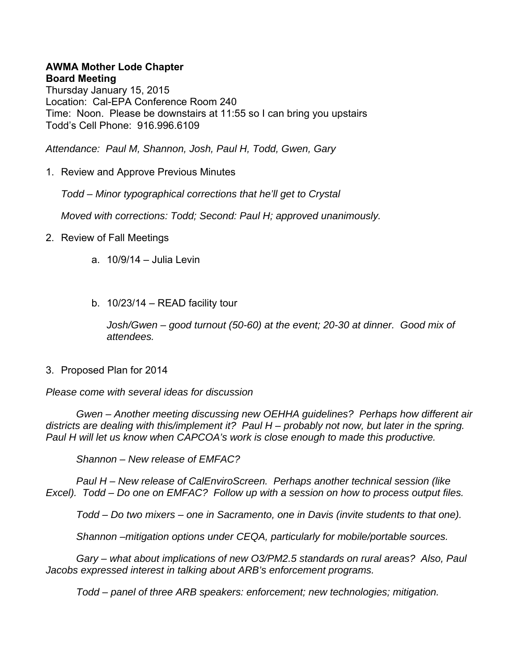## **AWMA Mother Lode Chapter Board Meeting**

Thursday January 15, 2015 Location: Cal-EPA Conference Room 240 Time: Noon. Please be downstairs at 11:55 so I can bring you upstairs Todd's Cell Phone: 916.996.6109

*Attendance: Paul M, Shannon, Josh, Paul H, Todd, Gwen, Gary* 

1. Review and Approve Previous Minutes

*Todd – Minor typographical corrections that he'll get to Crystal* 

*Moved with corrections: Todd; Second: Paul H; approved unanimously.* 

- 2. Review of Fall Meetings
	- a. 10/9/14 Julia Levin
	- b. 10/23/14 READ facility tour

*Josh/Gwen – good turnout (50-60) at the event; 20-30 at dinner. Good mix of attendees.* 

3. Proposed Plan for 2014

*Please come with several ideas for discussion* 

 *Gwen – Another meeting discussing new OEHHA guidelines? Perhaps how different air districts are dealing with this/implement it? Paul H – probably not now, but later in the spring. Paul H will let us know when CAPCOA's work is close enough to made this productive.* 

 *Shannon – New release of EMFAC?* 

 *Paul H – New release of CalEnviroScreen. Perhaps another technical session (like Excel). Todd – Do one on EMFAC? Follow up with a session on how to process output files.* 

 *Todd – Do two mixers – one in Sacramento, one in Davis (invite students to that one).* 

 *Shannon –mitigation options under CEQA, particularly for mobile/portable sources.* 

 *Gary – what about implications of new O3/PM2.5 standards on rural areas? Also, Paul Jacobs expressed interest in talking about ARB's enforcement programs.* 

 *Todd – panel of three ARB speakers: enforcement; new technologies; mitigation.*